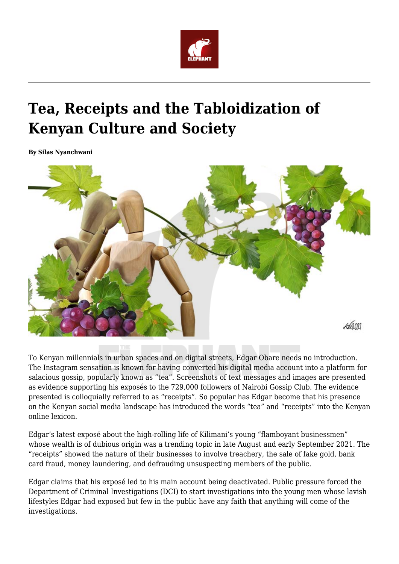

# **Tea, Receipts and the Tabloidization of Kenyan Culture and Society**

**By Silas Nyanchwani**



To Kenyan millennials in urban spaces and on digital streets, Edgar Obare needs no introduction. The Instagram sensation is known for having converted his digital media account into a platform for salacious gossip, popularly known as "tea". Screenshots of text messages and images are presented as evidence supporting his exposés to the 729,000 followers of Nairobi Gossip Club. The evidence presented is colloquially referred to as "receipts". So popular has Edgar become that his presence on the Kenyan social media landscape has introduced the words "tea" and "receipts" into the Kenyan online lexicon.

Edgar's latest exposé about the high-rolling life of Kilimani's young "flamboyant businessmen" whose wealth is of dubious origin was a trending topic in late August and early September 2021. The "receipts" showed the nature of their businesses to involve treachery, the sale of fake gold, bank card fraud, money laundering, and defrauding unsuspecting members of the public.

Edgar claims that his exposé led to his main account being deactivated. Public pressure forced the Department of Criminal Investigations (DCI) to start investigations into the young men whose lavish lifestyles Edgar had exposed but few in the public have any faith that anything will come of the investigations.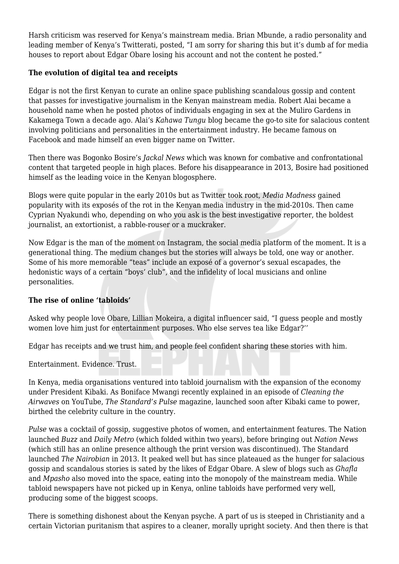Harsh criticism was reserved for Kenya's mainstream media. Brian Mbunde, a radio personality and leading member of Kenya's Twitterati, posted, "I am sorry for sharing this but it's dumb af for media houses to report about Edgar Obare losing his account and not the content he posted."

### **The evolution of digital tea and receipts**

Edgar is not the first Kenyan to curate an online space publishing scandalous gossip and content that passes for investigative journalism in the Kenyan mainstream media. Robert Alai became a household name when he posted photos of individuals engaging in sex at the Muliro Gardens in Kakamega Town a decade ago. Alai's *Kahawa Tungu* blog became the go-to site for salacious content involving politicians and personalities in the entertainment industry. He became famous on Facebook and made himself an even bigger name on Twitter.

Then there was Bogonko Bosire's *Jackal News* which was known for combative and confrontational content that targeted people in high places. Before his disappearance in 2013, Bosire had positioned himself as the leading voice in the Kenyan blogosphere.

Blogs were quite popular in the early 2010s but as Twitter took root, *Media Madness* gained popularity with its exposés of the rot in the Kenyan media industry in the mid-2010s. Then came Cyprian Nyakundi who, depending on who you ask is the best investigative reporter, the boldest journalist, an extortionist, a rabble-rouser or a muckraker.

Now Edgar is the man of the moment on Instagram, the social media platform of the moment. It is a generational thing. The medium changes but the stories will always be told, one way or another. Some of his more memorable "teas" include an exposé of a governor's sexual escapades, the hedonistic ways of a certain "boys' club", and the infidelity of local musicians and online personalities.

## **The rise of online 'tabloids'**

Asked why people love Obare, Lillian Mokeira, a digital influencer said, "I guess people and mostly women love him just for entertainment purposes. Who else serves tea like Edgar?''

Edgar has receipts and we trust him, and people feel confident sharing these stories with him.

Entertainment. Evidence. Trust.

In Kenya, media organisations ventured into tabloid journalism with the expansion of the economy under President Kibaki. As Boniface Mwangi recently explained in an episode of *Cleaning the Airwaves* on YouTube, *The Standard's Pulse* magazine, launched soon after Kibaki came to power, birthed the celebrity culture in the country.

*Pulse* was a cocktail of gossip, suggestive photos of women, and entertainment features. The Nation launched *Buzz* and *Daily Metro* (which folded within two years), before bringing out *Nation News* (which still has an online presence although the print version was discontinued). The Standard launched *The Nairobian* in 2013. It peaked well but has since plateaued as the hunger for salacious gossip and scandalous stories is sated by the likes of Edgar Obare. A slew of blogs such as *Ghafla* and *Mpasho* also moved into the space, eating into the monopoly of the mainstream media. While tabloid newspapers have not picked up in Kenya, online tabloids have performed very well, producing some of the biggest scoops.

There is something dishonest about the Kenyan psyche. A part of us is steeped in Christianity and a certain Victorian puritanism that aspires to a cleaner, morally upright society. And then there is that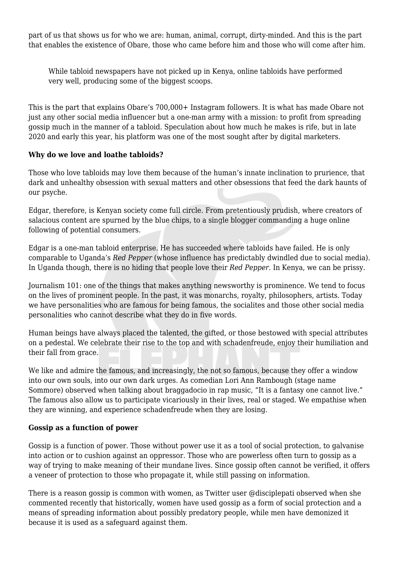part of us that shows us for who we are: human, animal, corrupt, dirty-minded. And this is the part that enables the existence of Obare, those who came before him and those who will come after him.

While tabloid newspapers have not picked up in Kenya, online tabloids have performed very well, producing some of the biggest scoops.

This is the part that explains Obare's 700,000+ Instagram followers. It is what has made Obare not just any other social media influencer but a one-man army with a mission: to profit from spreading gossip much in the manner of a tabloid. Speculation about how much he makes is rife, but in late 2020 and early this year, his platform was one of the most sought after by digital marketers.

#### **Why do we love and loathe tabloids?**

Those who love tabloids may love them because of the human's innate inclination to prurience, that dark and unhealthy obsession with sexual matters and other obsessions that feed the dark haunts of our psyche.

Edgar, therefore, is Kenyan society come full circle. From pretentiously prudish, where creators of salacious content are spurned by the blue chips, to a single blogger commanding a huge online following of potential consumers.

Edgar is a one-man tabloid enterprise. He has succeeded where tabloids have failed. He is only comparable to Uganda's *Red Pepper* (whose influence has predictably dwindled due to social media). In Uganda though, there is no hiding that people love their *Red Pepper.* In Kenya, we can be prissy.

Journalism 101: one of the things that makes anything newsworthy is prominence. We tend to focus on the lives of prominent people. In the past, it was monarchs, royalty, philosophers, artists. Today we have personalities who are famous for being famous, the socialites and those other social media personalities who cannot describe what they do in five words.

Human beings have always placed the talented, the gifted, or those bestowed with special attributes on a pedestal. We celebrate their rise to the top and with schadenfreude, enjoy their humiliation and their fall from grace.

We like and admire the famous, and increasingly, the not so famous, because they offer a window into our own souls, into our own dark urges. As comedian Lori Ann Rambough (stage name Sommore) observed when talking about braggadocio in rap music, "It is a fantasy one cannot live." The famous also allow us to participate vicariously in their lives, real or staged. We empathise when they are winning, and experience schadenfreude when they are losing.

#### **Gossip as a function of power**

Gossip is a function of power. Those without power use it as a tool of social protection, to galvanise into action or to cushion against an oppressor. Those who are powerless often turn to gossip as a way of trying to make meaning of their mundane lives. Since gossip often cannot be verified, it offers a veneer of protection to those who propagate it, while still passing on information.

There is a reason gossip is common with women, as Twitter user @disciplepati observed when she commented recently that historically, women have used gossip as a form of social protection and a means of spreading information about possibly predatory people, while men have demonized it because it is used as a safeguard against them.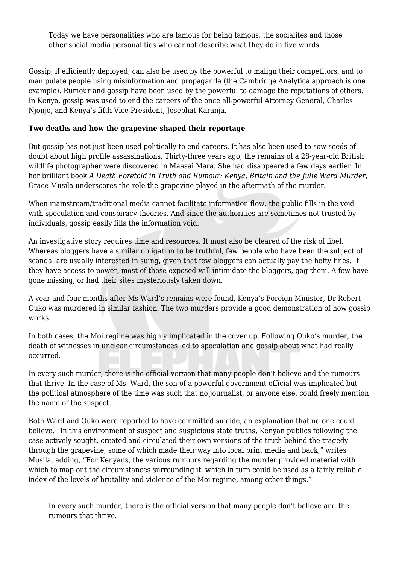Today we have personalities who are famous for being famous, the socialites and those other social media personalities who cannot describe what they do in five words.

Gossip, if efficiently deployed, can also be used by the powerful to malign their competitors, and to manipulate people using misinformation and propaganda (the Cambridge Analytica approach is one example). Rumour and gossip have been used by the powerful to damage the reputations of others. In Kenya, gossip was used to end the careers of the once all-powerful Attorney General, Charles Njonjo, and Kenya's fifth Vice President, Josephat Karanja.

#### **Two deaths and how the grapevine shaped their reportage**

But gossip has not just been used politically to end careers. It has also been used to sow seeds of doubt about high profile assassinations. Thirty-three years ago, the remains of a 28-year-old British wildlife photographer were discovered in Maasai Mara. She had disappeared a few days earlier. In her brilliant book *A Death Foretold in Truth and Rumour: Kenya, Britain and the Julie Ward Murder,* Grace Musila underscores the role the grapevine played in the aftermath of the murder.

When mainstream/traditional media cannot facilitate information flow, the public fills in the void with speculation and conspiracy theories. And since the authorities are sometimes not trusted by individuals, gossip easily fills the information void.

An investigative story requires time and resources. It must also be cleared of the risk of libel. Whereas bloggers have a similar obligation to be truthful, few people who have been the subject of scandal are usually interested in suing, given that few bloggers can actually pay the hefty fines. If they have access to power, most of those exposed will intimidate the bloggers, gag them. A few have gone missing, or had their sites mysteriously taken down.

A year and four months after Ms Ward's remains were found, Kenya's Foreign Minister, Dr Robert Ouko was murdered in similar fashion. The two murders provide a good demonstration of how gossip works.

In both cases, the Moi regime was highly implicated in the cover up. Following Ouko's murder, the death of witnesses in unclear circumstances led to speculation and gossip about what had really occurred.

In every such murder, there is the official version that many people don't believe and the rumours that thrive. In the case of Ms. Ward, the son of a powerful government official was implicated but the political atmosphere of the time was such that no journalist, or anyone else, could freely mention the name of the suspect.

Both Ward and Ouko were reported to have committed suicide, an explanation that no one could believe. "In this environment of suspect and suspicious state truths, Kenyan publics following the case actively sought, created and circulated their own versions of the truth behind the tragedy through the grapevine, some of which made their way into local print media and back," writes Musila, adding, "For Kenyans, the various rumours regarding the murder provided material with which to map out the circumstances surrounding it, which in turn could be used as a fairly reliable index of the levels of brutality and violence of the Moi regime, among other things."

In every such murder, there is the official version that many people don't believe and the rumours that thrive.